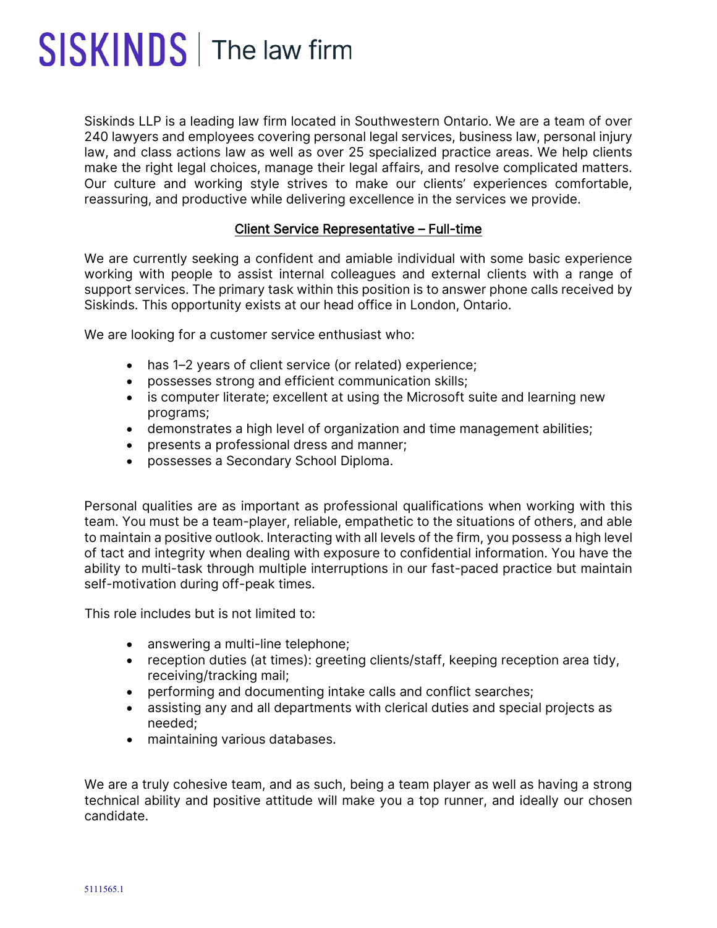## SISKINDS | The law firm

Siskinds LLP is a leading law firm located in Southwestern Ontario. We are a team of over 240 lawyers and employees covering personal legal services, business law, personal injury law, and class actions law as well as over 25 specialized practice areas. We help clients make the right legal choices, manage their legal affairs, and resolve complicated matters. Our culture and working style strives to make our clients' experiences comfortable, reassuring, and productive while delivering excellence in the services we provide.

## Client Service Representative – Full-time

We are currently seeking a confident and amiable individual with some basic experience working with people to assist internal colleagues and external clients with a range of support services. The primary task within this position is to answer phone calls received by Siskinds. This opportunity exists at our head office in London, Ontario.

We are looking for a customer service enthusiast who:

- has 1–2 years of client service (or related) experience;
- possesses strong and efficient communication skills;
- is computer literate; excellent at using the Microsoft suite and learning new programs;
- demonstrates a high level of organization and time management abilities;
- presents a professional dress and manner;
- possesses a Secondary School Diploma.

Personal qualities are as important as professional qualifications when working with this team. You must be a team-player, reliable, empathetic to the situations of others, and able to maintain a positive outlook. Interacting with all levels of the firm, you possess a high level of tact and integrity when dealing with exposure to confidential information. You have the ability to multi-task through multiple interruptions in our fast-paced practice but maintain self-motivation during off-peak times.

This role includes but is not limited to:

- answering a multi-line telephone;
- reception duties (at times): greeting clients/staff, keeping reception area tidy, receiving/tracking mail;
- performing and documenting intake calls and conflict searches;
- assisting any and all departments with clerical duties and special projects as needed;
- maintaining various databases.

We are a truly cohesive team, and as such, being a team player as well as having a strong technical ability and positive attitude will make you a top runner, and ideally our chosen candidate.